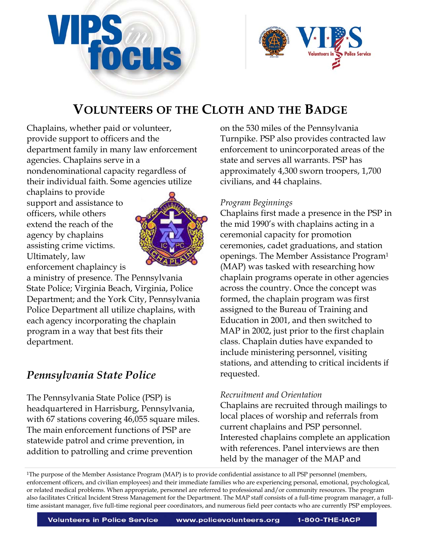



Chaplains, whether paid or volunteer, provide support to officers and the department family in many law enforcement agencies. Chaplains serve in a nondenominational capacity regardless of their individual faith. Some agencies utilize

chaplains to provide support and assistance to officers, while others extend the reach of the agency by chaplains assisting crime victims. Ultimately, law enforcement chaplaincy is



a ministry of presence. The Pennsylvania State Police; Virginia Beach, Virginia, Police Department; and the York City, Pennsylvania Police Department all utilize chaplains, with each agency incorporating the chaplain program in a way that best fits their department.

# *Pennsylvania State Police*

The Pennsylvania State Police (PSP) is headquartered in Harrisburg, Pennsylvania, with 67 stations covering 46,055 square miles. The main enforcement functions of PSP are statewide patrol and crime prevention, in addition to patrolling and crime prevention

on the 530 miles of the Pennsylvania Turnpike. PSP also provides contracted law enforcement to unincorporated areas of the state and serves all warrants. PSP has approximately 4,300 sworn troopers, 1,700 civilians, and 44 chaplains.

# *Program Beginnings*

Chaplains first made a presence in the PSP in the mid 1990's with chaplains acting in a ceremonial capacity for promotion ceremonies, cadet graduations, and station openings. The Member Assistance Program1 (MAP) was tasked with researching how chaplain programs operate in other agencies across the country. Once the concept was formed, the chaplain program was first assigned to the Bureau of Training and Education in 2001, and then switched to MAP in 2002, just prior to the first chaplain class. Chaplain duties have expanded to include ministering personnel, visiting stations, and attending to critical incidents if requested.

# *Recruitment and Orientation*

Chaplains are recruited through mailings to local places of worship and referrals from current chaplains and PSP personnel. Interested chaplains complete an application with references. Panel interviews are then held by the manager of the MAP and

1The purpose of the Member Assistance Program (MAP) is to provide confidential assistance to all PSP personnel (members, enforcement officers, and civilian employees) and their immediate families who are experiencing personal, emotional, psychological, or related medical problems. When appropriate, personnel are referred to professional and/or community resources. The program also facilitates Critical Incident Stress Management for the Department. The MAP staff consists of a full-time program manager, a fulltime assistant manager, five full-time regional peer coordinators, and numerous field peer contacts who are currently PSP employees.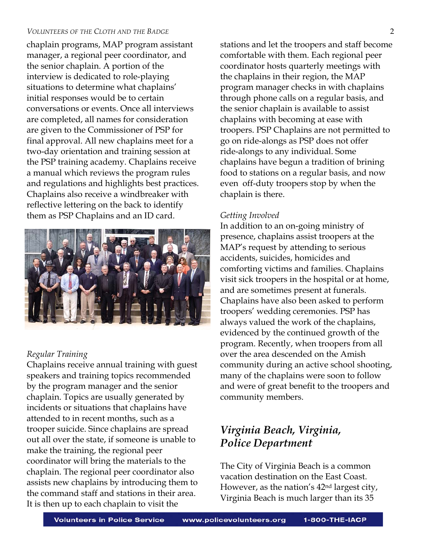chaplain programs, MAP program assistant manager, a regional peer coordinator, and the senior chaplain. A portion of the interview is dedicated to role-playing situations to determine what chaplains' initial responses would be to certain conversations or events. Once all interviews are completed, all names for consideration are given to the Commissioner of PSP for final approval. All new chaplains meet for a two-day orientation and training session at the PSP training academy. Chaplains receive a manual which reviews the program rules and regulations and highlights best practices. Chaplains also receive a windbreaker with reflective lettering on the back to identify them as PSP Chaplains and an ID card.



# *Regular Training*

Chaplains receive annual training with guest speakers and training topics recommended by the program manager and the senior chaplain. Topics are usually generated by incidents or situations that chaplains have attended to in recent months, such as a trooper suicide. Since chaplains are spread out all over the state, if someone is unable to make the training, the regional peer coordinator will bring the materials to the chaplain. The regional peer coordinator also assists new chaplains by introducing them to the command staff and stations in their area. It is then up to each chaplain to visit the

stations and let the troopers and staff become comfortable with them. Each regional peer coordinator hosts quarterly meetings with the chaplains in their region, the MAP program manager checks in with chaplains through phone calls on a regular basis, and the senior chaplain is available to assist chaplains with becoming at ease with troopers. PSP Chaplains are not permitted to go on ride-alongs as PSP does not offer ride-alongs to any individual. Some chaplains have begun a tradition of brining food to stations on a regular basis, and now even off-duty troopers stop by when the chaplain is there.

### *Getting Involved*

In addition to an on-going ministry of presence, chaplains assist troopers at the MAP's request by attending to serious accidents, suicides, homicides and comforting victims and families. Chaplains visit sick troopers in the hospital or at home, and are sometimes present at funerals. Chaplains have also been asked to perform troopers' wedding ceremonies. PSP has always valued the work of the chaplains, evidenced by the continued growth of the program. Recently, when troopers from all over the area descended on the Amish community during an active school shooting, many of the chaplains were soon to follow and were of great benefit to the troopers and community members.

# *Virginia Beach, Virginia, Police Department*

The City of Virginia Beach is a common vacation destination on the East Coast. However, as the nation's 42nd largest city, Virginia Beach is much larger than its 35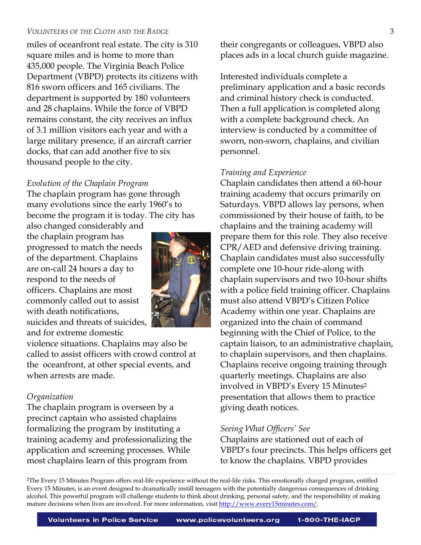miles of oceanfront real estate. The city is 310 square miles and is home to more than 435,000 people. The Virginia Beach Police Department (VBPD) protects its citizens with 816 sworn officers and 165 civilians. The department is supported by 180 volunteers and 28 chaplains. While the force of VBPD remains constant, the city receives an influx of 3.1 million visitors each year and with a large military presence, if an aircraft carrier docks, that can add another five to six thousand people to the city.

# *Evolution of the Chaplain Program*

The chaplain program has gone through many evolutions since the early 1960's to become the program it is today. The city has

also changed considerably and the chaplain program has progressed to match the needs of the department. Chaplains are on-call 24 hours a day to respond to the needs of officers. Chaplains are most commonly called out to assist with death notifications, suicides and threats of suicides, and for extreme domestic



violence situations. Chaplains may also be called to assist officers with crowd control at the oceanfront, at other special events, and when arrests are made.

# *Organization*

The chaplain program is overseen by a precinct captain who assisted chaplains formalizing the program by instituting a training academy and professionalizing the application and screening processes. While most chaplains learn of this program from

their congregants or colleagues, VBPD also places ads in a local church guide magazine.

Interested individuals complete a preliminary application and a basic records and criminal history check is conducted. Then a full application is completed along with a complete background check. An interview is conducted by a committee of sworn, non-sworn, chaplains, and civilian personnel.

# *Training and Experience*

Chaplain candidates then attend a 60-hour training academy that occurs primarily on Saturdays. VBPD allows lay persons, when commissioned by their house of faith, to be chaplains and the training academy will prepare them for this role. They also receive CPR/AED and defensive driving training. Chaplain candidates must also successfully complete one 10-hour ride-along with chaplain supervisors and two 10-hour shifts with a police field training officer. Chaplains must also attend VBPD's Citizen Police Academy within one year. Chaplains are organized into the chain of command beginning with the Chief of Police, to the captain liaison, to an administrative chaplain, to chaplain supervisors, and then chaplains. Chaplains receive ongoing training through quarterly meetings. Chaplains are also involved in VBPD's Every 15 Minutes2 presentation that allows them to practice giving death notices.

# *Seeing What Officers' See*

Chaplains are stationed out of each of VBPD's four precincts. This helps officers get to know the chaplains. VBPD provides

2The Every 15 Minutes Program offers real-life experience without the real-life risks. This emotionally charged program, entitled Every 15 Minutes, is an event designed to dramatically instill teenagers with the potentially dangerous consequences of drinking alcohol. This powerful program will challenge students to think about drinking, personal safety, and the responsibility of making mature decisions when lives are involved. For more information, visit http://www.every15minutes.com/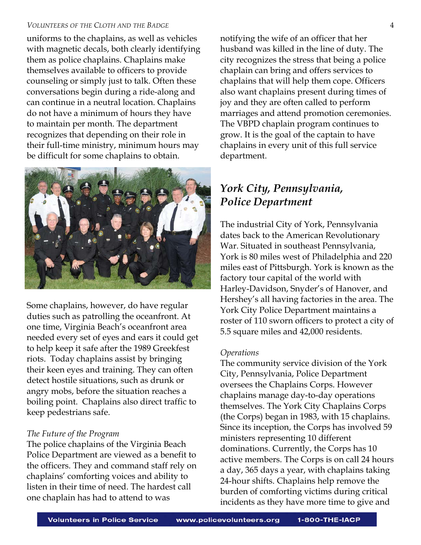uniforms to the chaplains, as well as vehicles with magnetic decals, both clearly identifying them as police chaplains. Chaplains make themselves available to officers to provide counseling or simply just to talk. Often these conversations begin during a ride-along and can continue in a neutral location. Chaplains do not have a minimum of hours they have to maintain per month. The department recognizes that depending on their role in their full-time ministry, minimum hours may be difficult for some chaplains to obtain.



Some chaplains, however, do have regular duties such as patrolling the oceanfront. At one time, Virginia Beach's oceanfront area needed every set of eyes and ears it could get to help keep it safe after the 1989 Greekfest riots. Today chaplains assist by bringing their keen eyes and training. They can often detect hostile situations, such as drunk or angry mobs, before the situation reaches a boiling point. Chaplains also direct traffic to keep pedestrians safe.

#### *The Future of the Program*

The police chaplains of the Virginia Beach Police Department are viewed as a benefit to the officers. They and command staff rely on chaplains' comforting voices and ability to listen in their time of need. The hardest call one chaplain has had to attend to was

notifying the wife of an officer that her husband was killed in the line of duty. The city recognizes the stress that being a police chaplain can bring and offers services to chaplains that will help them cope. Officers also want chaplains present during times of joy and they are often called to perform marriages and attend promotion ceremonies. The VBPD chaplain program continues to grow. It is the goal of the captain to have chaplains in every unit of this full service department.

# *York City, Pennsylvania, Police Department*

The industrial City of York, Pennsylvania dates back to the American Revolutionary War. Situated in southeast Pennsylvania, York is 80 miles west of Philadelphia and 220 miles east of Pittsburgh. York is known as the factory tour capital of the world with Harley-Davidson, Snyder's of Hanover, and Hershey's all having factories in the area. The York City Police Department maintains a roster of 110 sworn officers to protect a city of 5.5 square miles and 42,000 residents.

#### *Operations*

The community service division of the York City, Pennsylvania, Police Department oversees the Chaplains Corps. However chaplains manage day-to-day operations themselves. The York City Chaplains Corps (the Corps) began in 1983, with 15 chaplains. Since its inception, the Corps has involved 59 ministers representing 10 different dominations. Currently, the Corps has 10 active members. The Corps is on call 24 hours a day, 365 days a year, with chaplains taking 24-hour shifts. Chaplains help remove the burden of comforting victims during critical incidents as they have more time to give and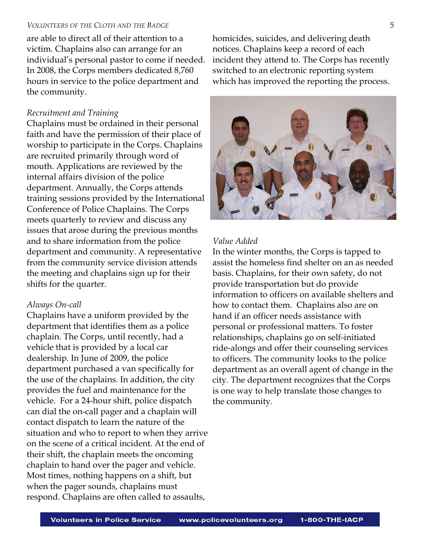are able to direct all of their attention to a victim. Chaplains also can arrange for an individual's personal pastor to come if needed. In 2008, the Corps members dedicated 8,760 hours in service to the police department and the community.

### *Recruitment and Training*

Chaplains must be ordained in their personal faith and have the permission of their place of worship to participate in the Corps. Chaplains are recruited primarily through word of mouth. Applications are reviewed by the internal affairs division of the police department. Annually, the Corps attends training sessions provided by the International Conference of Police Chaplains. The Corps meets quarterly to review and discuss any issues that arose during the previous months and to share information from the police department and community. A representative from the community service division attends the meeting and chaplains sign up for their shifts for the quarter.

#### *Always On-call*

Chaplains have a uniform provided by the department that identifies them as a police chaplain. The Corps, until recently, had a vehicle that is provided by a local car dealership. In June of 2009, the police department purchased a van specifically for the use of the chaplains. In addition, the city provides the fuel and maintenance for the vehicle. For a 24-hour shift, police dispatch can dial the on-call pager and a chaplain will contact dispatch to learn the nature of the situation and who to report to when they arrive on the scene of a critical incident. At the end of their shift, the chaplain meets the oncoming chaplain to hand over the pager and vehicle. Most times, nothing happens on a shift, but when the pager sounds, chaplains must respond. Chaplains are often called to assaults,

homicides, suicides, and delivering death notices. Chaplains keep a record of each incident they attend to. The Corps has recently switched to an electronic reporting system which has improved the reporting the process.



### *Value Added*

In the winter months, the Corps is tapped to assist the homeless find shelter on an as needed basis. Chaplains, for their own safety, do not provide transportation but do provide information to officers on available shelters and how to contact them. Chaplains also are on hand if an officer needs assistance with personal or professional matters. To foster relationships, chaplains go on self-initiated ride-alongs and offer their counseling services to officers. The community looks to the police department as an overall agent of change in the city. The department recognizes that the Corps is one way to help translate those changes to the community.